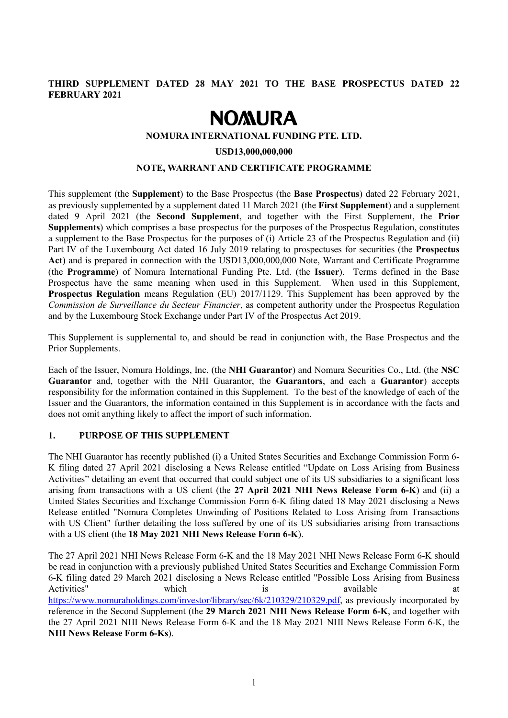# **THIRD SUPPLEMENT DATED 28 MAY 2021 TO THE BASE PROSPECTUS DATED 22 FEBRUARY 2021**

# **NOMURA**

#### **NOMURA INTERNATIONAL FUNDING PTE. LTD.**

#### **USD13,000,000,000**

#### **NOTE, WARRANT AND CERTIFICATE PROGRAMME**

This supplement (the **Supplement**) to the Base Prospectus (the **Base Prospectus**) dated 22 February 2021, as previously supplemented by a supplement dated 11 March 2021 (the **First Supplement**) and a supplement dated 9 April 2021 (the **Second Supplement**, and together with the First Supplement, the **Prior Supplements**) which comprises a base prospectus for the purposes of the Prospectus Regulation, constitutes a supplement to the Base Prospectus for the purposes of (i) Article 23 of the Prospectus Regulation and (ii) Part IV of the Luxembourg Act dated 16 July 2019 relating to prospectuses for securities (the **Prospectus Act**) and is prepared in connection with the USD13,000,000,000 Note, Warrant and Certificate Programme (the **Programme**) of Nomura International Funding Pte. Ltd. (the **Issuer**). Terms defined in the Base Prospectus have the same meaning when used in this Supplement. When used in this Supplement, **Prospectus Regulation** means Regulation (EU) 2017/1129. This Supplement has been approved by the *Commission de Surveillance du Secteur Financier*, as competent authority under the Prospectus Regulation and by the Luxembourg Stock Exchange under Part IV of the Prospectus Act 2019.

This Supplement is supplemental to, and should be read in conjunction with, the Base Prospectus and the Prior Supplements.

Each of the Issuer, Nomura Holdings, Inc. (the **NHI Guarantor**) and Nomura Securities Co., Ltd. (the **NSC Guarantor** and, together with the NHI Guarantor, the **Guarantors**, and each a **Guarantor**) accepts responsibility for the information contained in this Supplement. To the best of the knowledge of each of the Issuer and the Guarantors, the information contained in this Supplement is in accordance with the facts and does not omit anything likely to affect the import of such information.

#### **1. PURPOSE OF THIS SUPPLEMENT**

The NHI Guarantor has recently published (i) a United States Securities and Exchange Commission Form 6- K filing dated 27 April 2021 disclosing a News Release entitled "Update on Loss Arising from Business Activities" detailing an event that occurred that could subject one of its US subsidiaries to a significant loss arising from transactions with a US client (the **27 April 2021 NHI News Release Form 6-K**) and (ii) a United States Securities and Exchange Commission Form 6-K filing dated 18 May 2021 disclosing a News Release entitled "Nomura Completes Unwinding of Positions Related to Loss Arising from Transactions with US Client" further detailing the loss suffered by one of its US subsidiaries arising from transactions with a US client (the **18 May 2021 NHI News Release Form 6-K**).

The 27 April 2021 NHI News Release Form 6-K and the 18 May 2021 NHI News Release Form 6-K should be read in conjunction with a previously published United States Securities and Exchange Commission Form 6-K filing dated 29 March 2021 disclosing a News Release entitled "Possible Loss Arising from Business Activities" which is available at a [https://www.nomuraholdings.com/investor/library/sec/6k/210329/210329.pdf,](https://www.nomuraholdings.com/investor/library/sec/6k/210329/210329.pdf) as previously incorporated by reference in the Second Supplement (the **29 March 2021 NHI News Release Form 6-K**, and together with the 27 April 2021 NHI News Release Form 6-K and the 18 May 2021 NHI News Release Form 6-K, the **NHI News Release Form 6-Ks**).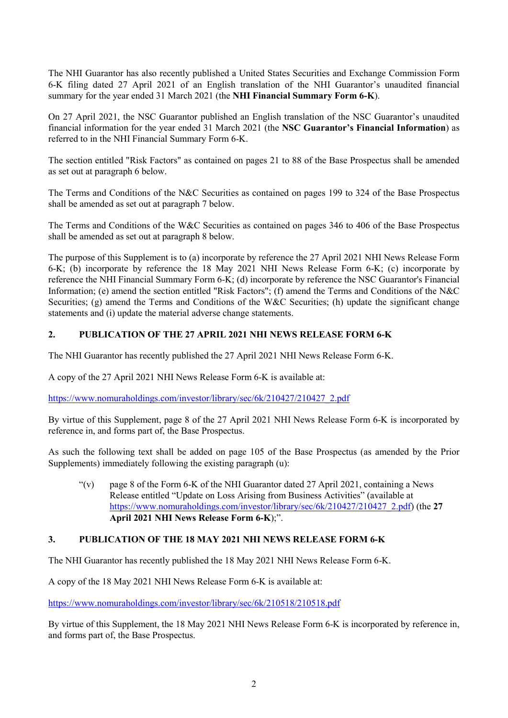The NHI Guarantor has also recently published a United States Securities and Exchange Commission Form 6-K filing dated 27 April 2021 of an English translation of the NHI Guarantor's unaudited financial summary for the year ended 31 March 2021 (the **NHI Financial Summary Form 6-K**).

On 27 April 2021, the NSC Guarantor published an English translation of the NSC Guarantor's unaudited financial information for the year ended 31 March 2021 (the **NSC Guarantor's Financial Information**) as referred to in the NHI Financial Summary Form 6-K.

The section entitled "Risk Factors" as contained on pages 21 to 88 of the Base Prospectus shall be amended as set out at paragraph 6 below.

The Terms and Conditions of the N&C Securities as contained on pages 199 to 324 of the Base Prospectus shall be amended as set out at paragraph 7 below.

The Terms and Conditions of the W&C Securities as contained on pages 346 to 406 of the Base Prospectus shall be amended as set out at paragraph 8 below.

The purpose of this Supplement is to (a) incorporate by reference the 27 April 2021 NHI News Release Form 6-K; (b) incorporate by reference the 18 May 2021 NHI News Release Form 6-K; (c) incorporate by reference the NHI Financial Summary Form 6-K; (d) incorporate by reference the NSC Guarantor's Financial Information; (e) amend the section entitled "Risk Factors"; (f) amend the Terms and Conditions of the N&C Securities; (g) amend the Terms and Conditions of the W&C Securities; (h) update the significant change statements and (i) update the material adverse change statements.

# **2. PUBLICATION OF THE 27 APRIL 2021 NHI NEWS RELEASE FORM 6-K**

The NHI Guarantor has recently published the 27 April 2021 NHI News Release Form 6-K.

A copy of the 27 April 2021 NHI News Release Form 6-K is available at:

[https://www.nomuraholdings.com/investor/library/sec/6k/210427/210427\\_2.pdf](https://www.nomuraholdings.com/investor/library/sec/6k/210427/210427_2.pdf)

By virtue of this Supplement, page 8 of the 27 April 2021 NHI News Release Form 6-K is incorporated by reference in, and forms part of, the Base Prospectus.

As such the following text shall be added on page 105 of the Base Prospectus (as amended by the Prior Supplements) immediately following the existing paragraph (u):

" $(v)$  page 8 of the Form 6-K of the NHI Guarantor dated 27 April 2021, containing a News Release entitled "Update on Loss Arising from Business Activities" (available at [https://www.nomuraholdings.com/investor/library/sec/6k/210427/210427\\_2.pdf\)](https://www.nomuraholdings.com/investor/library/sec/6k/210427/210427_2.pdf) (the **27 April 2021 NHI News Release Form 6-K**);".

# **3. PUBLICATION OF THE 18 MAY 2021 NHI NEWS RELEASE FORM 6-K**

The NHI Guarantor has recently published the 18 May 2021 NHI News Release Form 6-K.

A copy of the 18 May 2021 NHI News Release Form 6-K is available at:

<https://www.nomuraholdings.com/investor/library/sec/6k/210518/210518.pdf>

By virtue of this Supplement, the 18 May 2021 NHI News Release Form 6-K is incorporated by reference in, and forms part of, the Base Prospectus.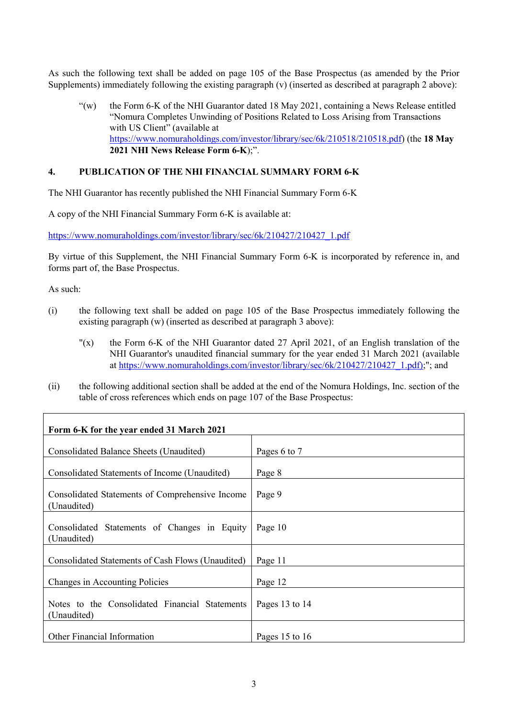As such the following text shall be added on page 105 of the Base Prospectus (as amended by the Prior Supplements) immediately following the existing paragraph (v) (inserted as described at paragraph 2 above):

"(w) the Form 6-K of the NHI Guarantor dated 18 May 2021, containing a News Release entitled "Nomura Completes Unwinding of Positions Related to Loss Arising from Transactions with US Client" (available at [https://www.nomuraholdings.com/investor/library/sec/6k/210518/210518.pdf\)](https://www.nomuraholdings.com/investor/library/sec/6k/210518/210518.pdf) (the **18 May 2021 NHI News Release Form 6-K**);".

## **4. PUBLICATION OF THE NHI FINANCIAL SUMMARY FORM 6-K**

The NHI Guarantor has recently published the NHI Financial Summary Form 6-K

A copy of the NHI Financial Summary Form 6-K is available at:

[https://www.nomuraholdings.com/investor/library/sec/6k/210427/210427\\_1.pdf](https://www.nomuraholdings.com/investor/library/sec/6k/210427/210427_1.pdf)

By virtue of this Supplement, the NHI Financial Summary Form 6-K is incorporated by reference in, and forms part of, the Base Prospectus.

As such:

- (i) the following text shall be added on page 105 of the Base Prospectus immediately following the existing paragraph (w) (inserted as described at paragraph 3 above):
	- "(x) the Form 6-K of the NHI Guarantor dated 27 April 2021, of an English translation of the NHI Guarantor's unaudited financial summary for the year ended 31 March 2021 (available at [https://www.nomuraholdings.com/investor/library/sec/6k/210427/210427\\_1.pdf\);](https://www.nomuraholdings.com/investor/library/sec/6k/210427/210427_1.pdf))"; and
- (ii) the following additional section shall be added at the end of the Nomura Holdings, Inc. section of the table of cross references which ends on page 107 of the Base Prospectus:

| Form 6-K for the year ended 31 March 2021                      |                |
|----------------------------------------------------------------|----------------|
| Consolidated Balance Sheets (Unaudited)                        | Pages 6 to 7   |
| Consolidated Statements of Income (Unaudited)                  | Page 8         |
| Consolidated Statements of Comprehensive Income<br>(Unaudited) | Page 9         |
| Consolidated Statements of Changes in Equity<br>(Unaudited)    | Page 10        |
| Consolidated Statements of Cash Flows (Unaudited)              | Page 11        |
| Changes in Accounting Policies                                 | Page 12        |
| Notes to the Consolidated Financial Statements<br>(Unaudited)  | Pages 13 to 14 |
| Other Financial Information                                    | Pages 15 to 16 |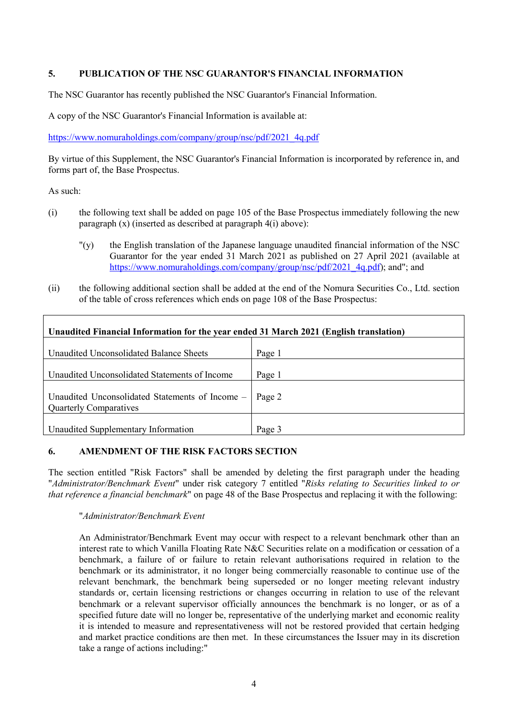# **5. PUBLICATION OF THE NSC GUARANTOR'S FINANCIAL INFORMATION**

The NSC Guarantor has recently published the NSC Guarantor's Financial Information.

A copy of the NSC Guarantor's Financial Information is available at:

[https://www.nomuraholdings.com/company/group/nsc/pdf/2021\\_4q.pdf](https://www.nomuraholdings.com/company/group/nsc/pdf/2021_4q.pdf)

By virtue of this Supplement, the NSC Guarantor's Financial Information is incorporated by reference in, and forms part of, the Base Prospectus.

As such:

- (i) the following text shall be added on page 105 of the Base Prospectus immediately following the new paragraph (x) (inserted as described at paragraph 4(i) above):
	- "(y) the English translation of the Japanese language unaudited financial information of the NSC Guarantor for the year ended 31 March 2021 as published on 27 April 2021 (available at [https://www.nomuraholdings.com/company/group/nsc/pdf/2021\\_4q.pdf\)](https://www.nomuraholdings.com/company/group/nsc/pdf/2021_4q.pdf); and"; and
- (ii) the following additional section shall be added at the end of the Nomura Securities Co., Ltd. section of the table of cross references which ends on page 108 of the Base Prospectus:

| Unaudited Financial Information for the year ended 31 March 2021 (English translation) |        |
|----------------------------------------------------------------------------------------|--------|
| Unaudited Unconsolidated Balance Sheets                                                | Page 1 |
| Unaudited Unconsolidated Statements of Income                                          | Page 1 |
| Unaudited Unconsolidated Statements of Income -<br><b>Quarterly Comparatives</b>       | Page 2 |
| Unaudited Supplementary Information                                                    | Page 3 |

#### **6. AMENDMENT OF THE RISK FACTORS SECTION**

The section entitled "Risk Factors" shall be amended by deleting the first paragraph under the heading "*Administrator/Benchmark Event*" under risk category 7 entitled "*Risks relating to Securities linked to or that reference a financial benchmark*" on page 48 of the Base Prospectus and replacing it with the following:

#### "*Administrator/Benchmark Event*

An Administrator/Benchmark Event may occur with respect to a relevant benchmark other than an interest rate to which Vanilla Floating Rate N&C Securities relate on a modification or cessation of a benchmark, a failure of or failure to retain relevant authorisations required in relation to the benchmark or its administrator, it no longer being commercially reasonable to continue use of the relevant benchmark, the benchmark being superseded or no longer meeting relevant industry standards or, certain licensing restrictions or changes occurring in relation to use of the relevant benchmark or a relevant supervisor officially announces the benchmark is no longer, or as of a specified future date will no longer be, representative of the underlying market and economic reality it is intended to measure and representativeness will not be restored provided that certain hedging and market practice conditions are then met. In these circumstances the Issuer may in its discretion take a range of actions including:"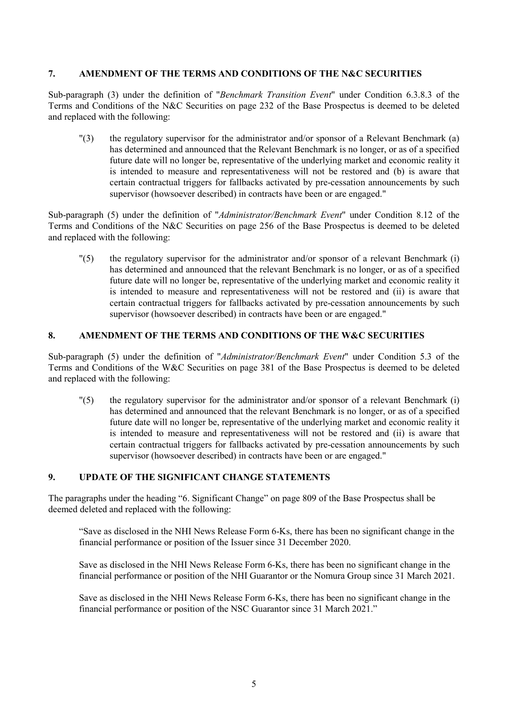#### **7. AMENDMENT OF THE TERMS AND CONDITIONS OF THE N&C SECURITIES**

Sub-paragraph (3) under the definition of "*Benchmark Transition Event*" under Condition 6.3.8.3 of the Terms and Conditions of the N&C Securities on page 232 of the Base Prospectus is deemed to be deleted and replaced with the following:

"(3) the regulatory supervisor for the administrator and/or sponsor of a Relevant Benchmark (a) has determined and announced that the Relevant Benchmark is no longer, or as of a specified future date will no longer be, representative of the underlying market and economic reality it is intended to measure and representativeness will not be restored and (b) is aware that certain contractual triggers for fallbacks activated by pre-cessation announcements by such supervisor (howsoever described) in contracts have been or are engaged."

Sub-paragraph (5) under the definition of "*Administrator/Benchmark Event*" under Condition 8.12 of the Terms and Conditions of the N&C Securities on page 256 of the Base Prospectus is deemed to be deleted and replaced with the following:

"(5) the regulatory supervisor for the administrator and/or sponsor of a relevant Benchmark (i) has determined and announced that the relevant Benchmark is no longer, or as of a specified future date will no longer be, representative of the underlying market and economic reality it is intended to measure and representativeness will not be restored and (ii) is aware that certain contractual triggers for fallbacks activated by pre-cessation announcements by such supervisor (howsoever described) in contracts have been or are engaged."

### **8. AMENDMENT OF THE TERMS AND CONDITIONS OF THE W&C SECURITIES**

Sub-paragraph (5) under the definition of "*Administrator/Benchmark Event*" under Condition 5.3 of the Terms and Conditions of the W&C Securities on page 381 of the Base Prospectus is deemed to be deleted and replaced with the following:

"(5) the regulatory supervisor for the administrator and/or sponsor of a relevant Benchmark (i) has determined and announced that the relevant Benchmark is no longer, or as of a specified future date will no longer be, representative of the underlying market and economic reality it is intended to measure and representativeness will not be restored and (ii) is aware that certain contractual triggers for fallbacks activated by pre-cessation announcements by such supervisor (howsoever described) in contracts have been or are engaged."

# **9. UPDATE OF THE SIGNIFICANT CHANGE STATEMENTS**

The paragraphs under the heading "6. Significant Change" on page 809 of the Base Prospectus shall be deemed deleted and replaced with the following:

"Save as disclosed in the NHI News Release Form 6-Ks, there has been no significant change in the financial performance or position of the Issuer since 31 December 2020.

Save as disclosed in the NHI News Release Form 6-Ks, there has been no significant change in the financial performance or position of the NHI Guarantor or the Nomura Group since 31 March 2021.

Save as disclosed in the NHI News Release Form 6-Ks, there has been no significant change in the financial performance or position of the NSC Guarantor since 31 March 2021."